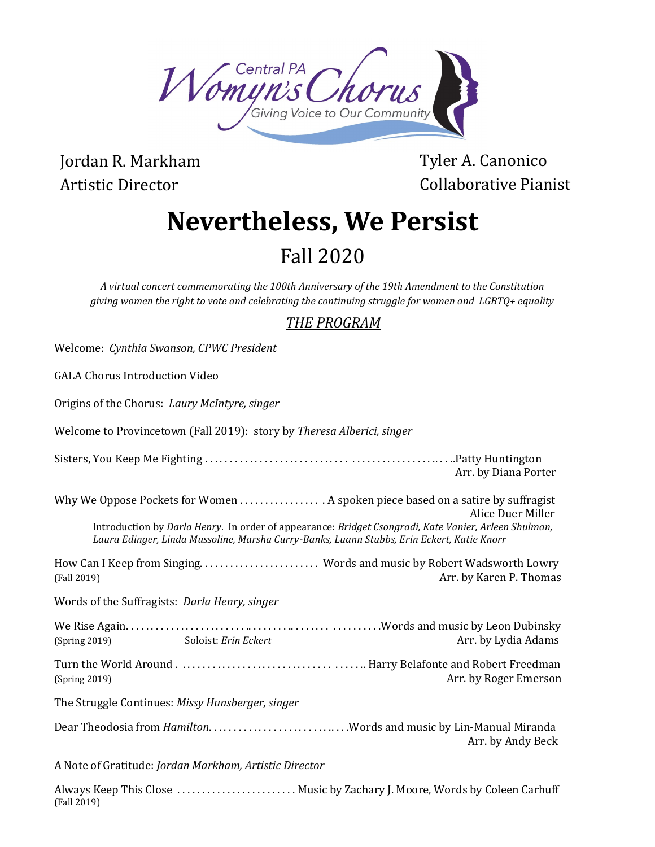

Jordan R. Markham Artistic Director

(Fall 2019)

Tyler A. Canonico Collaborative Pianist

# **Nevertheless, We Persist**

# Fall 2020

*A virtual concert commemorating the 100th Anniversary of the 19th Amendment to the Constitution giving women the right to vote and celebrating the continuing struggle for women and LGBTQ+ equality*

## *THE PROGRAM*

| Welcome: Cynthia Swanson, CPWC President                                                                                                                                                                                                                                                                  |
|-----------------------------------------------------------------------------------------------------------------------------------------------------------------------------------------------------------------------------------------------------------------------------------------------------------|
| <b>GALA Chorus Introduction Video</b>                                                                                                                                                                                                                                                                     |
| Origins of the Chorus: Laury McIntyre, singer                                                                                                                                                                                                                                                             |
| Welcome to Provincetown (Fall 2019): story by Theresa Alberici, singer                                                                                                                                                                                                                                    |
| Arr. by Diana Porter                                                                                                                                                                                                                                                                                      |
| Why We Oppose Pockets for Women A spoken piece based on a satire by suffragist<br>Alice Duer Miller<br>Introduction by Darla Henry. In order of appearance: Bridget Csongradi, Kate Vanier, Arleen Shulman,<br>Laura Edinger, Linda Mussoline, Marsha Curry-Banks, Luann Stubbs, Erin Eckert, Katie Knorr |
| How Can I Keep from Singing Words and music by Robert Wadsworth Lowry<br>Arr. by Karen P. Thomas<br>(Fall 2019)                                                                                                                                                                                           |
| Words of the Suffragists: Darla Henry, singer                                                                                                                                                                                                                                                             |
| Arr. by Lydia Adams<br>Soloist: Erin Eckert<br>(Spring 2019)                                                                                                                                                                                                                                              |
| Arr. by Roger Emerson<br>(Spring 2019)                                                                                                                                                                                                                                                                    |
| The Struggle Continues: Missy Hunsberger, singer                                                                                                                                                                                                                                                          |
| Dear Theodosia from HamiltonWords and music by Lin-Manual Miranda<br>Arr. by Andy Beck                                                                                                                                                                                                                    |
| A Note of Gratitude: Jordan Markham, Artistic Director                                                                                                                                                                                                                                                    |
| Always Keep This Close  Music by Zachary J. Moore, Words by Coleen Carhuff                                                                                                                                                                                                                                |